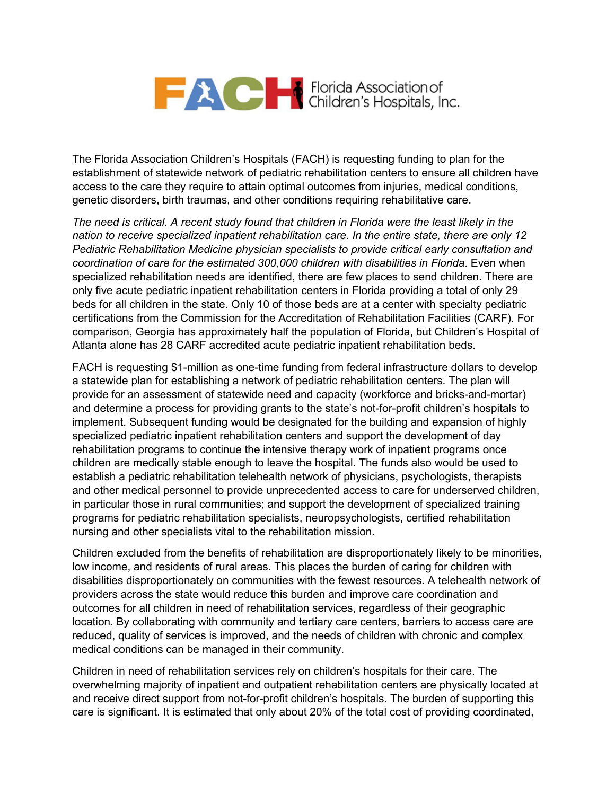## Florida Association of Children's Hospitals, Inc.

The Florida Association Children's Hospitals (FACH) is requesting funding to plan for the establishment of statewide network of pediatric rehabilitation centers to ensure all children have access to the care they require to attain optimal outcomes from injuries, medical conditions, genetic disorders, birth traumas, and other conditions requiring rehabilitative care.

*The need is critical. A recent study found that children in Florida were the least likely in the nation to receive specialized inpatient rehabilitation care*. *In the entire state, there are only 12 Pediatric Rehabilitation Medicine physician specialists to provide critical early consultation and coordination of care for the estimated 300,000 children with disabilities in Florida*. Even when specialized rehabilitation needs are identified, there are few places to send children. There are only five acute pediatric inpatient rehabilitation centers in Florida providing a total of only 29 beds for all children in the state. Only 10 of those beds are at a center with specialty pediatric certifications from the Commission for the Accreditation of Rehabilitation Facilities (CARF). For comparison, Georgia has approximately half the population of Florida, but Children's Hospital of Atlanta alone has 28 CARF accredited acute pediatric inpatient rehabilitation beds.

FACH is requesting \$1-million as one-time funding from federal infrastructure dollars to develop a statewide plan for establishing a network of pediatric rehabilitation centers. The plan will provide for an assessment of statewide need and capacity (workforce and bricks-and-mortar) and determine a process for providing grants to the state's not-for-profit children's hospitals to implement. Subsequent funding would be designated for the building and expansion of highly specialized pediatric inpatient rehabilitation centers and support the development of day rehabilitation programs to continue the intensive therapy work of inpatient programs once children are medically stable enough to leave the hospital. The funds also would be used to establish a pediatric rehabilitation telehealth network of physicians, psychologists, therapists and other medical personnel to provide unprecedented access to care for underserved children, in particular those in rural communities; and support the development of specialized training programs for pediatric rehabilitation specialists, neuropsychologists, certified rehabilitation nursing and other specialists vital to the rehabilitation mission.

Children excluded from the benefits of rehabilitation are disproportionately likely to be minorities, low income, and residents of rural areas. This places the burden of caring for children with disabilities disproportionately on communities with the fewest resources. A telehealth network of providers across the state would reduce this burden and improve care coordination and outcomes for all children in need of rehabilitation services, regardless of their geographic location. By collaborating with community and tertiary care centers, barriers to access care are reduced, quality of services is improved, and the needs of children with chronic and complex medical conditions can be managed in their community.

Children in need of rehabilitation services rely on children's hospitals for their care. The overwhelming majority of inpatient and outpatient rehabilitation centers are physically located at and receive direct support from not-for-profit children's hospitals. The burden of supporting this care is significant. It is estimated that only about 20% of the total cost of providing coordinated,